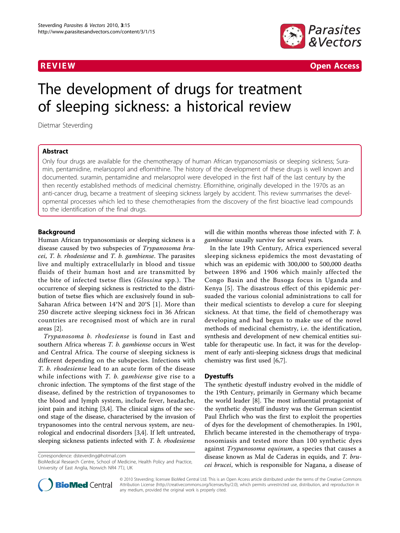

R EVI EW Open Access

# The development of drugs for treatment of sleeping sickness: a historical review

Dietmar Steverding

# Abstract

Only four drugs are available for the chemotherapy of human African trypanosomiasis or sleeping sickness; Suramin, pentamidine, melarsoprol and eflornithine. The history of the development of these drugs is well known and documented. suramin, pentamidine and melarsoprol were developed in the first half of the last century by the then recently established methods of medicinal chemistry. Eflornithine, originally developed in the 1970s as an anti-cancer drug, became a treatment of sleeping sickness largely by accident. This review summarises the developmental processes which led to these chemotherapies from the discovery of the first bioactive lead compounds to the identification of the final drugs.

# Background

Human African trypanosomiasis or sleeping sickness is a disease caused by two subspecies of Trypanosoma bru $cei$ , T.  $b$ . rhodesiense and T.  $b$ . gambiense. The parasites live and multiply extracellularly in blood and tissue fluids of their human host and are transmitted by the bite of infected tsetse flies (Glossina spp.). The occurrence of sleeping sickness is restricted to the distribution of tsetse flies which are exclusively found in sub-Saharan Africa between 14°N and 20°S [[1\]](#page-6-0). More than 250 discrete active sleeping sickness foci in 36 African countries are recognised most of which are in rural areas [[2](#page-6-0)].

Trypanosoma b. rhodesiense is found in East and southern Africa whereas T. b. gambiense occurs in West and Central Africa. The course of sleeping sickness is different depending on the subspecies. Infections with T. b. rhodesiense lead to an acute form of the disease while infections with  $T$ . b. gambiense give rise to a chronic infection. The symptoms of the first stage of the disease, defined by the restriction of trypanosomes to the blood and lymph system, include fever, headache, joint pain and itching [[3,4\]](#page-6-0). The clinical signs of the second stage of the disease, characterised by the invasion of trypanosomes into the central nervous system, are neurological and endocrinal disorders [\[3,4](#page-6-0)]. If left untreated, sleeping sickness patients infected with T. b. rhodesiense

Correspondence: [dsteverding@hotmail.com](mailto:dsteverding@hotmail.com)

BioMedical Research Centre, School of Medicine, Health Policy and Practice, University of East Anglia, Norwich NR4 7TJ, UK



In the late 19th Century, Africa experienced several sleeping sickness epidemics the most devastating of which was an epidemic with 300,000 to 500,000 deaths between 1896 and 1906 which mainly affected the Congo Basin and the Busoga focus in Uganda and Kenya [[5](#page-6-0)]. The disastrous effect of this epidemic persuaded the various colonial administrations to call for their medical scientists to develop a cure for sleeping sickness. At that time, the field of chemotherapy was developing and had begun to make use of the novel methods of medicinal chemistry, i.e. the identification, synthesis and development of new chemical entities suitable for therapeutic use. In fact, it was for the development of early anti-sleeping sickness drugs that medicinal chemistry was first used [\[6,7\]](#page-7-0).

## **Dyestuffs**

The synthetic dyestuff industry evolved in the middle of the 19th Century, primarily in Germany which became the world leader [\[8\]](#page-7-0). The most influential protagonist of the synthetic dyestuff industry was the German scientist Paul Ehrlich who was the first to exploit the properties of dyes for the development of chemotherapies. In 1901, Ehrlich became interested in the chemotherapy of trypanosomiasis and tested more than 100 synthetic dyes against Trypanosoma equinum, a species that causes a disease known as Mal de Caderas in equids, and T. brucei brucei, which is responsible for Nagana, a disease of



© 2010 Steverding; licensee BioMed Central Ltd. This is an Open Access article distributed under the terms of the Creative Commons Attribution License [\(http://creativecommons.org/licenses/by/2.0](http://creativecommons.org/licenses/by/2.0)), which permits unrestricted use, distribution, and reproduction in any medium, provided the original work is properly cited.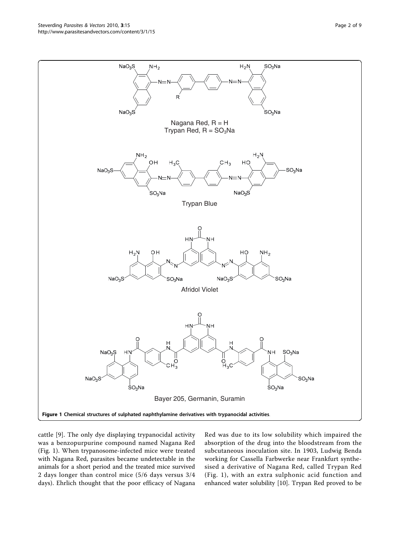cattle [\[9](#page-7-0)]. The only dye displaying trypanocidal activity was a benzopurpurine compound named Nagana Red (Fig. 1). When trypanosome-infected mice were treated with Nagana Red, parasites became undetectable in the animals for a short period and the treated mice survived 2 days longer than control mice (5/6 days versus 3/4 days). Ehrlich thought that the poor efficacy of Nagana Red was due to its low solubility which impaired the absorption of the drug into the bloodstream from the subcutaneous inoculation site. In 1903, Ludwig Benda working for Cassella Farbwerke near Frankfurt synthesised a derivative of Nagana Red, called Trypan Red (Fig. 1), with an extra sulphonic acid function and enhanced water solubility [\[10\]](#page-7-0). Trypan Red proved to be

<span id="page-1-0"></span>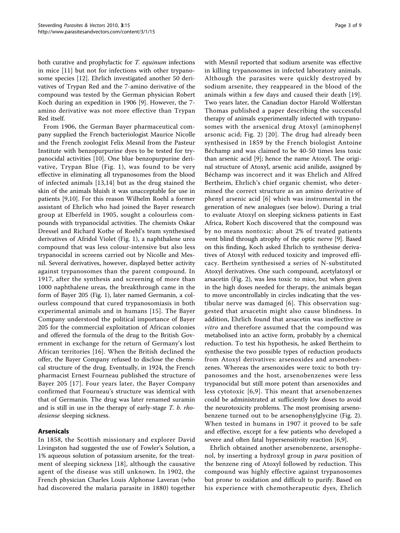both curative and prophylactic for T. equinum infections in mice [\[11](#page-7-0)] but not for infections with other trypanosome species [[12](#page-7-0)]. Ehrlich investigated another 50 derivatives of Trypan Red and the 7-amino derivative of the compound was tested by the German physician Robert Koch during an expedition in 1906 [[9\]](#page-7-0). However, the 7 amino derivative was not more effective than Trypan Red itself.

From 1906, the German Bayer pharmaceutical company supplied the French bacteriologist Maurice Nicolle and the French zoologist Felix Mesnil from the Pasteur Institute with benzopurpurine dyes to be tested for trypanocidal activities [[10\]](#page-7-0). One blue benzopurpurine derivative, Trypan Blue (Fig. [1](#page-1-0)), was found to be very effective in eliminating all trypanosomes from the blood of infected animals [[13,14\]](#page-7-0) but as the drug stained the skin of the animals bluish it was unacceptable for use in patients [[9,10\]](#page-7-0). For this reason Wilhelm Roehl a former assistant of Ehrlich who had joined the Bayer research group at Elberfeld in 1905, sought a colourless compounds with trypanocidal activities. The chemists Oskar Dressel and Richard Kothe of Roehl's team synthesised derivatives of Afridol Violet (Fig. [1](#page-1-0)), a naphthalene urea compound that was less colour-intensive but also less trypanocidal in screens carried out by Nicolle and Mesnil. Several derivatives, however, displayed better activity against trypanosomes than the parent compound. In 1917, after the synthesis and screening of more than 1000 naphthalene ureas, the breakthrough came in the form of Bayer 205 (Fig. [1](#page-1-0)), later named Germanin, a colourless compound that cured trypanosomiasis in both experimental animals and in humans [[15\]](#page-7-0). The Bayer Company understood the political importance of Bayer 205 for the commercial exploitation of African colonies and offered the formula of the drug to the British Government in exchange for the return of Germany's lost African territories [[16](#page-7-0)]. When the British declined the offer, the Bayer Company refused to disclose the chemical structure of the drug. Eventually, in 1924, the French pharmacist Ernest Fourneau published the structure of Bayer 205 [[17](#page-7-0)]. Four years later, the Bayer Company confirmed that Fourneau's structure was identical with that of Germanin. The drug was later renamed suramin and is still in use in the therapy of early-stage T. b. rhodesiense sleeping sickness.

## Arsenicals

In 1858, the Scottish missionary and explorer David Livingston had suggested the use of Fowler's Solution, a 1% aqueous solution of potassium arsenite, for the treatment of sleeping sickness [[18](#page-7-0)], although the causative agent of the disease was still unknown. In 1902, the French physician Charles Louis Alphonse Laveran (who had discovered the malaria parasite in 1880) together with Mesnil reported that sodium arsenite was effective in killing trypanosomes in infected laboratory animals. Although the parasites were quickly destroyed by sodium arsenite, they reappeared in the blood of the animals within a few days and caused their death [[19](#page-7-0)]. Two years later, the Canadian doctor Harold Wolferstan Thomas published a paper describing the successful therapy of animals experimentally infected with trypanosomes with the arsenical drug Atoxyl (aminophenyl arsonic acid; Fig. [2\)](#page-3-0) [[20\]](#page-7-0). The drug had already been synthesised in 1859 by the French biologist Antoine Béchamp and was claimed to be 40-50 times less toxic than arsenic acid [\[9](#page-7-0)]; hence the name Atoxyl. The original structure of Atoxyl, arsenic acid anilide, assigned by Béchamp was incorrect and it was Ehrlich and Alfred Bertheim, Ehrlich's chief organic chemist, who determined the correct structure as an amino derivative of phenyl arsenic acid [[6\]](#page-7-0) which was instrumental in the generation of new analogues (see below). During a trial to evaluate Atoxyl on sleeping sickness patients in East Africa, Robert Koch discovered that the compound was by no means nontoxic: about 2% of treated patients went blind through atrophy of the optic nerve [[9](#page-7-0)]. Based on this finding, Koch asked Ehrlich to synthesise derivatives of Atoxyl with reduced toxicity and improved efficacy. Bertheim synthesised a series of N-substituted Atoxyl derivatives. One such compound, acetylatoxyl or arsacetin (Fig. [2](#page-3-0)), was less toxic to mice, but when given in the high doses needed for therapy, the animals began to move uncontrollably in circles indicating that the vestibular nerve was damaged [[6](#page-7-0)]. This observation suggested that arsacetin might also cause blindness. In addition, Ehrlich found that arsacetin was ineffective in vitro and therefore assumed that the compound was metabolised into an active form, probably by a chemical reduction. To test his hypothesis, he asked Bertheim to synthesise the two possible types of reduction products from Atoxyl derivatives: arsenoxides and arsenobenzenes. Whereas the arsenoxides were toxic to both trypanosomes and the host, arsenobenzenes were less trypanocidal but still more potent than arsenoxides and less cytotoxic [[6](#page-7-0),[9\]](#page-7-0). This meant that arsenobenzenes could be administrated at sufficiently low doses to avoid the neurotoxicity problems. The most promising arsenobenzene turned out to be arsenophenylglycine (Fig. [2](#page-3-0)). When tested in humans in 1907 it proved to be safe and effective, except for a few patients who developed a severe and often fatal hypersensitivity reaction [\[6,9](#page-7-0)].

Ehrlich obtained another arsenobenzene, arsenophenol, by inserting a hydroxyl group in para position of the benzene ring of Atoxyl followed by reduction. This compound was highly effective against trypanosomes but prone to oxidation and difficult to purify. Based on his experience with chemotherapeutic dyes, Ehrlich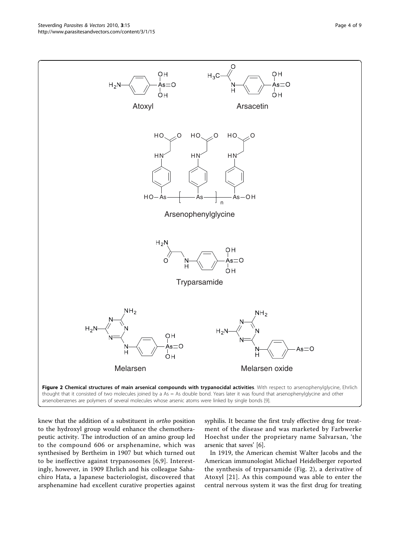<span id="page-3-0"></span>

knew that the addition of a substituent in ortho position to the hydroxyl group would enhance the chemotherapeutic activity. The introduction of an amino group led to the compound 606 or arsphenamine, which was synthesised by Bertheim in 1907 but which turned out to be ineffective against trypanosomes [\[6,9](#page-7-0)]. Interestingly, however, in 1909 Ehrlich and his colleague Sahachiro Hata, a Japanese bacteriologist, discovered that arsphenamine had excellent curative properties against

syphilis. It became the first truly effective drug for treatment of the disease and was marketed by Farbwerke Hoechst under the proprietary name Salvarsan, 'the arsenic that saves' [[6\]](#page-7-0).

In 1919, the American chemist Walter Jacobs and the American immunologist Michael Heidelberger reported the synthesis of tryparsamide (Fig. 2), a derivative of Atoxyl [[21](#page-7-0)]. As this compound was able to enter the central nervous system it was the first drug for treating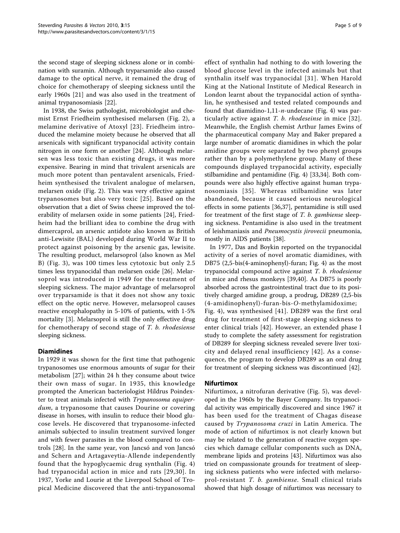the second stage of sleeping sickness alone or in combination with suramin. Although tryparsamide also caused damage to the optical nerve, it remained the drug of choice for chemotherapy of sleeping sickness until the early 1960s [\[21](#page-7-0)] and was also used in the treatment of animal trypanosomiasis [[22\]](#page-7-0).

In 1938, the Swiss pathologist, microbiologist and chemist Ernst Friedheim synthesised melarsen (Fig. [2\)](#page-3-0), a melamine derivative of Atoxyl [\[23\]](#page-7-0). Friedheim introduced the melamine moiety because he observed that all arsenicals with significant trypanocidal activity contain nitrogen in one form or another [\[24](#page-7-0)]. Although melarsen was less toxic than existing drugs, it was more expensive. Bearing in mind that trivalent arsenicals are much more potent than pentavalent arsenicals, Friedheim synthesised the trivalent analogue of melarsen, melarsen oxide (Fig. [2](#page-3-0)). This was very effective against trypanosomes but also very toxic [\[25\]](#page-7-0). Based on the observation that a diet of Swiss cheese improved the tolerability of melarsen oxide in some patients [[24\]](#page-7-0), Friedheim had the brilliant idea to combine the drug with dimercaprol, an arsenic antidote also known as British anti-Lewisite (BAL) developed during World War II to protect against poisoning by the arsenic gas, lewisite. The resulting product, melarsoprol (also known as Mel B) (Fig. [3](#page-5-0)), was 100 times less cytotoxic but only 2.5 times less trypanocidal than melarsen oxide [\[26](#page-7-0)]. Melarsoprol was introduced in 1949 for the treatment of sleeping sickness. The major advantage of melarsoprol over tryparsamide is that it does not show any toxic effect on the optic nerve. However, melarsoprol causes reactive encephalopathy in 5-10% of patients, with 1-5% mortality [[3](#page-6-0)]. Melarsoprol is still the only effective drug for chemotherapy of second stage of T. b. rhodesiense sleeping sickness.

## Diamidines

In 1929 it was shown for the first time that pathogenic trypanosomes use enormous amounts of sugar for their metabolism [\[27\]](#page-7-0); within 24 h they consume about twice their own mass of sugar. In 1935, this knowledge prompted the American bacteriologist Hildrus Poindexter to treat animals infected with Trypanosoma equiperdum, a trypanosome that causes Dourine or covering disease in horses, with insulin to reduce their blood glucose levels. He discovered that trypanosome-infected animals subjected to insulin treatment survived longer and with fewer parasites in the blood compared to controls [\[28](#page-7-0)]. In the same year, von Jancsó and von Jancsó and Schern and Artagaveytia-Allende independently found that the hypoglycaemic drug synthalin (Fig. [4](#page-6-0)) had trypanocidal action in mice and rats [[29](#page-7-0),[30\]](#page-7-0). In 1937, Yorke and Lourie at the Liverpool School of Tropical Medicine discovered that the anti-trypanosomal

effect of synthalin had nothing to do with lowering the blood glucose level in the infected animals but that synthalin itself was trypanocidal [[31\]](#page-7-0). When Harold King at the National Institute of Medical Research in London learnt about the trypanocidal action of synthalin, he synthesised and tested related compounds and found that diamidino-1,11- $n$ -undecane (Fig. [4](#page-6-0)) was particularly active against T. b. rhodeseinse in mice [[32\]](#page-7-0). Meanwhile, the English chemist Arthur James Ewins of the pharmaceutical company May and Baker prepared a large number of aromatic diamidines in which the polar amidine groups were separated by two phenyl groups rather than by a polymethylene group. Many of these compounds displayed trypanocidal activity, especially stilbamidine and pentamidine (Fig. [4](#page-6-0)) [[33,34](#page-7-0)]. Both compounds were also highly effective against human trypanosomiasis [[35](#page-7-0)]. Whereas stilbamidine was later abandoned, because it caused serious neurological effects in some patients [\[36,37\]](#page-7-0), pentamidine is still used for treatment of the first stage of T. b. gambiense sleeping sickness. Pentamidine is also used in the treatment of leishmaniasis and Pneumocystis jirovecii pneumonia, mostly in AIDS patients [\[38\]](#page-7-0).

In 1977, Das and Boykin reported on the trypanocidal activity of a series of novel aromatic diamidines, with DB75 (2,5-bis(4-aminophenyl)-furan; Fig. [4\)](#page-6-0) as the most trypanocidal compound active against T. b. rhodesiense in mice and rhesus monkeys [[39,40\]](#page-7-0). As DB75 is poorly absorbed across the gastrointestinal tract due to its positively charged amidine group, a prodrug, DB289 (2,5-bis (4-amidinophenyl)-furan-bis-O-methylamidoxime; Fig. [4\)](#page-6-0), was synthesised [[41](#page-7-0)]. DB289 was the first oral drug for treatment of first-stage sleeping sickness to enter clinical trials [[42\]](#page-7-0). However, an extended phase I study to complete the safety assessment for registration of DB289 for sleeping sickness revealed severe liver toxicity and delayed renal insufficiency [[42\]](#page-7-0). As a consequence, the program to develop DB289 as an oral drug for treatment of sleeping sickness was discontinued [[42\]](#page-7-0).

## Nifurtimox

Nifurtimox, a nitrofuran derivative (Fig. [5\)](#page-6-0), was developed in the 1960s by the Bayer Company. Its trypanocidal activity was empirically discovered and since 1967 it has been used for the treatment of Chagas disease caused by Trypanosoma cruzi in Latin America. The mode of action of nifurtimox is not clearly known but may be related to the generation of reactive oxygen species which damage cellular components such as DNA, membrane lipids and proteins [\[43](#page-7-0)]. Nifurtimox was also tried on compassionate grounds for treatment of sleeping sickness patients who were infected with melarsoprol-resistant T. b. gambiense. Small clinical trials showed that high dosage of nifurtimox was necessary to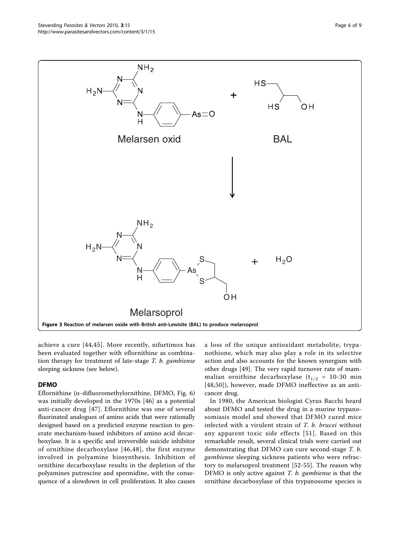<span id="page-5-0"></span>

achieve a cure [\[44,45](#page-7-0)]. More recently, nifurtimox has been evaluated together with eflornithine as combination therapy for treatment of late-stage T. b. gambiense sleeping sickness (see below).

# DFMO

Eflornithine ( $\alpha$ -difluoromethylornithine, DFMO, Fig. [6](#page-6-0)) was initially developed in the 1970s [\[46](#page-7-0)] as a potential anti-cancer drug [[47](#page-7-0)]. Eflornithine was one of several fluorinated analogues of amino acids that were rationally designed based on a predicted enzyme reaction to generate mechanism-based inhibitors of amino acid decarboxylase. It is a specific and irreversible suicide inhibitor of ornithine decarboxylase [[46](#page-7-0),[48\]](#page-7-0), the first enzyme involved in polyamine biosynthesis. Inhibition of ornithine decarboxylase results in the depletion of the polyamines putrescine and spermidine, with the consequence of a slowdown in cell proliferation. It also causes a loss of the unique antioxidant metabolite, trypanothione, which may also play a role in its selective action and also accounts for the known synergism with other drugs [[49\]](#page-7-0). The very rapid turnover rate of mammalian ornithine decarboxylase  $(t_{1/2} = 10-30$  min [[48](#page-7-0),[50\]](#page-7-0)), however, made DFMO ineffective as an anticancer drug.

In 1980, the American biologist Cyrus Bacchi heard about DFMO and tested the drug in a murine trypanosomiasis model and showed that DFMO cured mice infected with a virulent strain of T. b. brucei without any apparent toxic side effects [[51\]](#page-7-0). Based on this remarkable result, several clinical trials were carried out demonstrating that DFMO can cure second-stage T. b. gambiense sleeping sickness patients who were refractory to melarsoprol treatment [[52](#page-7-0)-[55\]](#page-7-0). The reason why DFMO is only active against  $T.$  b. gambiense is that the ornithine decarboxylase of this trypanosome species is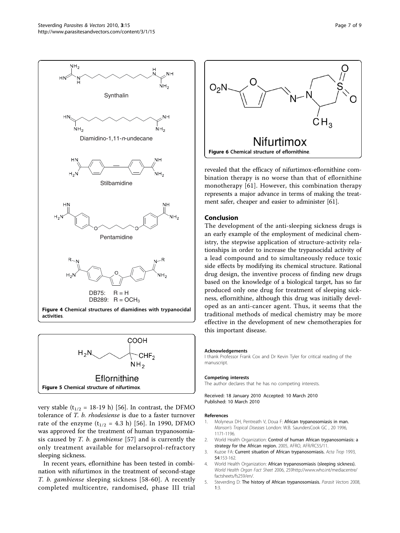<span id="page-6-0"></span>



very stable ( $t_{1/2}$  = 18-19 h) [\[56](#page-7-0)]. In contrast, the DFMO tolerance of T. b. rhodesiense is due to a faster turnover rate of the enzyme  $(t_{1/2} = 4.3 \text{ h})$  [[56](#page-7-0)]. In 1990, DFMO was approved for the treatment of human trypanosomiasis caused by T. b. gambiense [\[57\]](#page-7-0) and is currently the only treatment available for melarsoprol-refractory sleeping sickness.

In recent years, eflornithine has been tested in combination with nifurtimox in the treatment of second-stage T. b. gambiense sleeping sickness [[58](#page-7-0)-[60\]](#page-8-0). A recently completed multicentre, randomised, phase III trial



revealed that the efficacy of nifurtimox-eflornithine combination therapy is no worse than that of eflornithine monotherapy [[61](#page-8-0)]. However, this combination therapy represents a major advance in terms of making the treatment safer, cheaper and easier to administer [\[61\]](#page-8-0).

## Conclusion

The development of the anti-sleeping sickness drugs is an early example of the employment of medicinal chemistry, the stepwise application of structure-activity relationships in order to increase the trypanocidal activity of a lead compound and to simultaneously reduce toxic side effects by modifying its chemical structure. Rational drug design, the inventive process of finding new drugs based on the knowledge of a biological target, has so far produced only one drug for treatment of sleeping sickness, eflornithine, although this drug was initially developed as an anti-cancer agent. Thus, it seems that the traditional methods of medical chemistry may be more effective in the development of new chemotherapies for this important disease.

#### Acknowledgements

I thank Professor Frank Cox and Dr Kevin Tyler for critical reading of the manuscript.

#### Competing interests

The author declares that he has no competing interests.

Received: 18 January 2010 Accepted: 10 March 2010 Published: 10 March 2010

#### References

- 1. Molyneux DH, Pentreath V, Doua F: African trypanosomiasis in man. Manson's Tropical Diseases London: W.B. SaundersCook GC , 20 1996, 1171-1196.
- 2. World Health Organization: Control of human African trypanosomiasis: a strategy for the African region. 2005, AFRO, AFR/RC55/11.
- 3. Kuzoe FA: [Current situation of African trypanosomiasis.](http://www.ncbi.nlm.nih.gov/pubmed/7902654?dopt=Abstract) Acta Trop 1993, 54:153-162.
- 4. World Health Organization: African trypanosomiasis (sleeping sickness). World Health Organ Fact Sheet 2006, 25[9http://www.who.int/mediacentre/](http://www.who.int/mediacentre/factsheets/fs259/en/) [factsheets/fs259/en/.](http://www.who.int/mediacentre/factsheets/fs259/en/)
- 5. Steverding D: [The history of African trypanosomiasis.](http://www.ncbi.nlm.nih.gov/pubmed/18275594?dopt=Abstract) Parasit Vectors 2008, 1:3.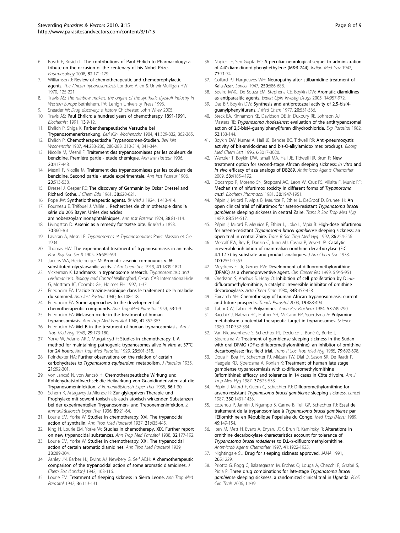- <span id="page-7-0"></span>6. Bosch F, Rosich L: [The contributions of Paul Ehrlich to Pharmacology: a](http://www.ncbi.nlm.nih.gov/pubmed/18679046?dopt=Abstract) [tribute on the occasion of the centenary of his Nobel Prize.](http://www.ncbi.nlm.nih.gov/pubmed/18679046?dopt=Abstract) Pharmacology 2008, 82:171-179.
- 7. Williamson J: Review of chemotherapeutic and chemoprophylactic agents. The African trypanosomiasis London: Allen & UnwinMulligan HW 1970, 125-221.
- 8. Travis AS: The rainbow makers: the origins of the synthetic dyestuff industry in Western Europe Bethlehem, PA: Lehigh University Press 1993.
- Sneader W: Drug discovery: a history Chichester: John Wiley 2005. 10. Travis AS: Paul Ehrlich: a hundred years of chemotherapy 1891-1991. Biochemist 1991, 13:9-12.
- 11. Ehrlich P, Shiga K: Farbentherapeutische Versuche bei Trypanosomenerkrankung. Berl Klin Wochenschr 1904, 41:329-332, 362-365.
- 12. Ehrlich P: Chemotherapeutische Trypanosomen-Studien. Berl Klin Wochenschr 1907, 44:233-236, 280-283, 310-314, 341-344.
- 13. Nicolle M, Mesnil F: Traitement des trypanosomiases par les couleurs de benzidine. Premiére partie - etude chemique. Ann Inst Pasteur 1906, 20:417-448.
- 14. Mesnil F, Nicolle M: Traitement des trypanosomiases par les couleurs de benzidine. Second partie - etude expérimentale. Ann Inst Pasteur 1906, 20:513-538.
- 15. Dressel J, Oesper RE: The discovery of Germanin by Oskar Dressel and Richard Kothe. J Chem Edu 1961, 38:620-621.
- 16. Pope JW: Synthetic therapeutic agents. Br Med J 1924, 1:413-414.
- 17. Fourneau E, Tréfouël J, Vallée J: Recherches de chimiothérapie dans la série du 205 Bayer. Urées des acides
- aminobenzoylaminonaphtaléniques. Ann Inst Pasteur 1924, 38:81-114. 18. Livingston D: Arsenic as a remedy for tsetse bite. Br Med J 1858, 70:360-361.
- 19. Lavaran A, Mesnil F: Trypanosomes et Trypanosomiases Paris: Masson et Cie 1904.
- 20. Thomas HW: The experimental treatment of trypanosomiasis in animals. Proc Roy Soc Ser B 1905, 76:589-591.
- 21. Jacobs WA, Heidelberger M: Aromatic arsenic compounds v. Nsubstituted glycylarsanilic acids. J Am Chem Soc 1919, 41:1809-1821.
- 22. Vickerman K: Landmarks in trypanosome research. Trypanosomiasis and Leishmaniasis. Biology and Control Wallingford, Oxon: CAB InternationalHide G, Mottram JC, Coombs GH, Holmes PH 1997, 1-37.
- 23. Friedheim EA: L'acide triazine-arsinique dans le traitement de la maladie du sommeil. Ann Inst Pasteur 1940, 65:108-118.
- 24. Friedheim EA: [Some approaches to the development of](http://www.ncbi.nlm.nih.gov/pubmed/13650482?dopt=Abstract) [chemotherapeutic compounds.](http://www.ncbi.nlm.nih.gov/pubmed/13650482?dopt=Abstract) Ann Trop Med Parasitol 1959, 53:1-9.
- 25. Friedheim EA: [Melarsen oxide in the treatment of human](http://www.ncbi.nlm.nih.gov/pubmed/18110349?dopt=Abstract) [trypanosomiasis.](http://www.ncbi.nlm.nih.gov/pubmed/18110349?dopt=Abstract) Ann Trop Med Parasitol 1948, 42:357-363.
- 26. Friedheim EA: [Mel B in the treatment of human trypanosomiasis.](http://www.ncbi.nlm.nih.gov/pubmed/18116843?dopt=Abstract) Am J Trop Med Hyg 1949, 29:173-180.
- 27. Yorke W, Adams ARD, Murgatroyd F: Studies in chemotherapy. I. A method for maintaining pathogenic trypanosomes alive in vitro at 37°C. for 24 hours. Ann Trop Med Parasitol 1929, 23:501-518.
- 28. Poindexter HA: Further observations on the relation of certain carbohydrates to Trypanosoma equiperdum metabolism. J Parasitol 1935, 21:292-301.
- 29. von Jancsó N, von Jancsó H: Chemotherapeutische Wirkung und Kohlehydratstoffwechsel: die Heilwirkung von Guanidinderivaten auf die Trypanosomeninfektion. Z Immunitätsforsch Exper Ther 1935, 86:1-30.
- 30. Schern K, Artagaveytia-Allende R: Zur glykopriven Therapie und Prophylaxe mit sowohl toxisch als auch atoxisch wirkenden Substanzen bei der experimentellen Trypanosomen- und Treponemeninfektion. Z Immunitätsforsch Exper Ther 1936, 89:21-64.
- 31. Lourie EM, Yorke W: Studies in chemotherapy. XVI. The trypanocidal action of synthalin. Ann Trop Med Parasitol 1937, 31:435-445.
- 32. King H, Lourie EM, Yorke W: Studies in chemotherapy. XIX. Further report on new trypanocidal substances. Ann Trop Med Parasitol 1938, 32:177-192.
- 33. Lourie EM, Yorke W: Studies in chemotherapy. XXI. The trypanocidal action of certain aromatic diamidines. Ann Trop Med Parasitol 1939, 33:289-304.
- 34. Ashley JN, Barber HJ, Ewins AJ, Newbery G, Self ADH: A chemotherapeutic comparison of the trypanocidal action of some aromatic diamidines. J Chem Soc (London) 1942, 103-116.
- 35. Lourie EM: Treatment of sleeping sickness in Sierra Leone. Ann Trop Med Parasitol 1942, 36:113-131.
- 36. Napier LE, Sen Gupta PC: A peculiar neurological sequel to administration of 4:4'-diamidino-diphenyl-ethylene (M&B 744). Indian Med Gaz 1942, 77:71-74.
- 37. Collard PJ, Hargreaves WH: Neuropathy after stilbamidine treatment of Kala-Azar. Lancet 1947, 250:686-688.
- 38. Soeiro MNC, De Souza EM, Stephens CE, Boykin DW: [Aromatic diamidines](http://www.ncbi.nlm.nih.gov/pubmed/16050790?dopt=Abstract) [as antiparasitic agents.](http://www.ncbi.nlm.nih.gov/pubmed/16050790?dopt=Abstract) Expert Opin Investig Drugs 2005, 14:957-972.
- 39. Das BP, Boykin DW: [Synthesis and antiprotozoal activity of 2,5-bis\(4](http://www.ncbi.nlm.nih.gov/pubmed/321783?dopt=Abstract) [guanylphenyl\)furans.](http://www.ncbi.nlm.nih.gov/pubmed/321783?dopt=Abstract) J Med Chem 1977, 20:531-536.
- 40. Steck EA, Kinnamon KE, Davidson DE Jr, Duxbury RE, Johnson AJ, Masters RE: Trypanosoma rhodesiense[: evaluation of the antitrypanosomal](http://www.ncbi.nlm.nih.gov/pubmed/7056341?dopt=Abstract) [action of 2,5-bis\(4-guanylphenyl\)furan dihydrochloride.](http://www.ncbi.nlm.nih.gov/pubmed/7056341?dopt=Abstract) Exp Parasitol 1982, 53:133-144.
- 41. Boykin DW, Kumar A, Hall JE, Bender BC, Tidwell RR: Anti-pneumocystis activity of bis-amidoximes and bis-O-alkylamidoximes prodrugs. Bioorg Med Chem Lett 1996, 6:3017-3020.
- 42. Wenzler T, Boykin DW, Ismail MA, Hall JE, Tidwell RR, Brun R: [New](http://www.ncbi.nlm.nih.gov/pubmed/19620327?dopt=Abstract) [treatment option for second-stage African sleeping sickness:](http://www.ncbi.nlm.nih.gov/pubmed/19620327?dopt=Abstract) in vitro and in vivo [efficacy of aza analogs of DB289.](http://www.ncbi.nlm.nih.gov/pubmed/19620327?dopt=Abstract) Antimicrob Agents Chemother 2009, 53:4185-4192.
- 43. Docampo R, Moreno SN, Stoppani AO, Leon W, Cruz FS, Villalta F, Muniz RF: [Mechanism of nifurtimox toxicity in different forms of](http://www.ncbi.nlm.nih.gov/pubmed/7023488?dopt=Abstract) Trypanosoma [cruzi](http://www.ncbi.nlm.nih.gov/pubmed/7023488?dopt=Abstract). Biochem Pharmacol 1981, 30:1947-1951.
- 44. Pépin J, Milord F, Mpia B, Meurice F, Ethier L, DeGroof D, Bruneel H: [An](http://www.ncbi.nlm.nih.gov/pubmed/2694491?dopt=Abstract) [open clinical trial of nifurtimox for arseno-resistant](http://www.ncbi.nlm.nih.gov/pubmed/2694491?dopt=Abstract) Trypanosoma brucei gambiense [sleeping sickness in central Zaire.](http://www.ncbi.nlm.nih.gov/pubmed/2694491?dopt=Abstract) Trans R Soc Trop Med Hyg 1989, 83:514-517.
- 45. Pépin J, Milord F, Meurice F, Ethier L, Loko L, Mpia B: [High-dose nifurtimox](http://www.ncbi.nlm.nih.gov/pubmed/1412646?dopt=Abstract) for arseno-resistant [Trypanosoma brucei gambiense](http://www.ncbi.nlm.nih.gov/pubmed/1412646?dopt=Abstract) sleeping sickness: an [open trial in central Zaire.](http://www.ncbi.nlm.nih.gov/pubmed/1412646?dopt=Abstract) Trans R Soc Trop Med Hyg 1992, 86:254-256.
- 46. Metcalf BW, Bey P, Danzin C, Jung MJ, Casara P, Vevert JP: Catalytic irreversible inhibition of mammalian ornithine decarboxylase (E.C. 4.1.1.17) by substrate and product analogues. J Am Chem Soc 1978, 100:2551-2553.
- 47. Meyskens FL Jr, Gerner EW: [Development of difluoromethylornithine](http://www.ncbi.nlm.nih.gov/pubmed/10353725?dopt=Abstract) [\(DFMO\) as a chemopreventive agent.](http://www.ncbi.nlm.nih.gov/pubmed/10353725?dopt=Abstract) Clin Cancer Res 1999, 5:945-951.
- Oredsson S, Anehus S, Heby Ο: Inhibition of cell proliferation by DL-αdifluoromethylornithine, a catalytic irreversible inhibitor of ornithine decarboxylase. Acta Chem Scan 1980, 34B:457-458.
- 49. Fairlamb AH: [Chemotherapy of human African trypanosomiasis: current](http://www.ncbi.nlm.nih.gov/pubmed/14580959?dopt=Abstract) [and future prospects.](http://www.ncbi.nlm.nih.gov/pubmed/14580959?dopt=Abstract) Trends Parasitol 2003, 19:488-494.
- 50. Tabor CW, Tabor H: [Polyamines.](http://www.ncbi.nlm.nih.gov/pubmed/6206782?dopt=Abstract) Annu Rev Biochem 1984, 53:749-790.
- 51. Bacchi CJ, Nathan HC, Hutner SH, McCann PP, Sjoerdsma A: [Polyamine](http://www.ncbi.nlm.nih.gov/pubmed/6775372?dopt=Abstract) [metabolism: a potential therapeutic target in trypanosomes.](http://www.ncbi.nlm.nih.gov/pubmed/6775372?dopt=Abstract) Science 1980, 210:332-334.
- 52. Van Nieuwenhove S, Schechter PJ, Declercq J, Boné G, Burke J, Sjoerdsma A: [Treatment of gambiense sleeping sickness in the Sudan](http://www.ncbi.nlm.nih.gov/pubmed/3938090?dopt=Abstract) with oral DFMO (DF- $\alpha$ [-difluoromethylornithine\), an inhibitor of ornithine](http://www.ncbi.nlm.nih.gov/pubmed/3938090?dopt=Abstract) [decarboxylase; first field trial.](http://www.ncbi.nlm.nih.gov/pubmed/3938090?dopt=Abstract) Trans R Soc Trop Med Hyg 1985, 79:692-698.
- 53. Doua F, Boa FY, Schechter PJ, Miézan TW, Diai D, Sason SR, De Raadt P, Haegele KD, Sjoerdsma A, Konian K: [Treatment of human late stage](http://www.ncbi.nlm.nih.gov/pubmed/3120607?dopt=Abstract) [gambiense trypanosomiasis with](http://www.ncbi.nlm.nih.gov/pubmed/3120607?dopt=Abstract)  $\alpha$ -difluoromethylornithine [\(eflornithine\): efficacy and tolerance in 14 cases in Côte d](http://www.ncbi.nlm.nih.gov/pubmed/3120607?dopt=Abstract)'Ivoire. Am J Trop Med Hyg 1987, 37:525-533.
- 54. Pépin J, Milord F, Guern C, Schechter PJ: Difluoromethylornithine for arseno-resistant Trypanosoma brucei gambiense sleeping sickness. Lancet 1987, 330:1431-1433.
- 55. Eozenou P, Jannin J, Ngampo S, Carme B, Tell GP, Schechter PJ: [Essai de](http://www.ncbi.nlm.nih.gov/pubmed/2507863?dopt=Abstract) [traitement de la trypanosomiase à](http://www.ncbi.nlm.nih.gov/pubmed/2507863?dopt=Abstract) Trypanosoma brucei gambiense par l'[Eflornithine en République Populaire du Congo.](http://www.ncbi.nlm.nih.gov/pubmed/2507863?dopt=Abstract) Med Trop (Mars) 1989, 49:149-154.
- 56. Iten M, Mett H, Evans A, Enyaru JCK, Brun R, Kaminsky R: [Alterations in](http://www.ncbi.nlm.nih.gov/pubmed/9303385?dopt=Abstract) [ornithine decarboxylase characteristics account for tolerance of](http://www.ncbi.nlm.nih.gov/pubmed/9303385?dopt=Abstract) [Trypanosoma brucei rodesiense](http://www.ncbi.nlm.nih.gov/pubmed/9303385?dopt=Abstract) to  $D,L-\alpha$ -difluoromethylornithine. Antimicrob Agents Chemother 1997, 41:1922-1925.
- 57. Nightingale SL: [Drug for sleeping sickness approved.](http://www.ncbi.nlm.nih.gov/pubmed/1995961?dopt=Abstract) JAMA 1991, 265:1229.
- 58. Priotto G, Fogg C, Balasegaram M, Erphas O, Louga A, Checchi F, Ghabri S, Piola P: [Three drug combinations for late-stage](http://www.ncbi.nlm.nih.gov/pubmed/17160135?dopt=Abstract) Trypanosoma brucei gambiense [sleeping sickness: a randomized clinical trial in Uganda.](http://www.ncbi.nlm.nih.gov/pubmed/17160135?dopt=Abstract) PLoS Clin Trials 2006, 1:e39.